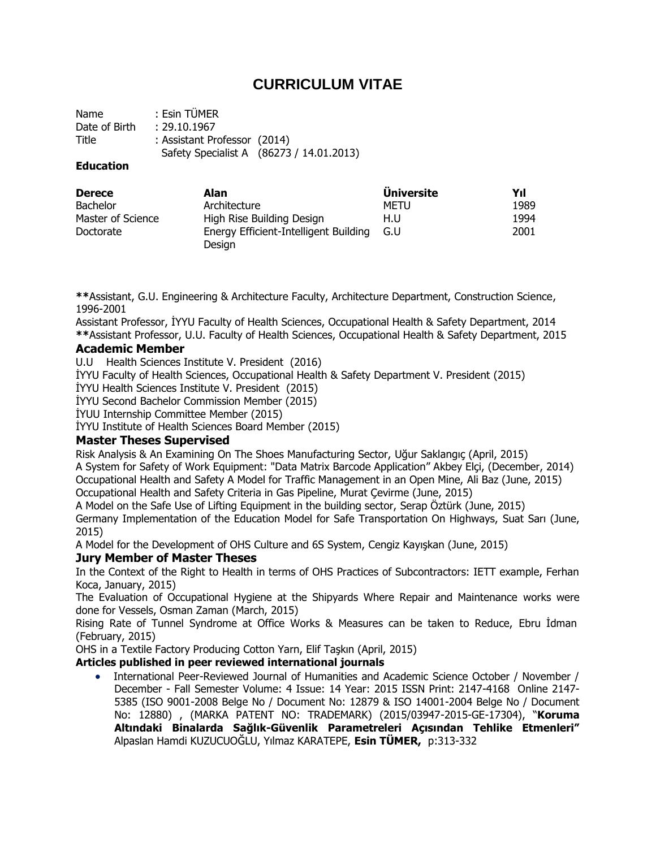# **CURRICULUM VITAE**

Name : Esin TÜMER Date of Birth : 29.10.1967 Title : Assistant Professor (2014) Safety Specialist A (86273 / 14.01.2013)

### **Education**

| <b>Derece</b>     | Alan                                            | <b>Universite</b> | Yıl  |
|-------------------|-------------------------------------------------|-------------------|------|
| <b>Bachelor</b>   | Architecture                                    | METU              | 1989 |
| Master of Science | High Rise Building Design                       | H.U               | 1994 |
| Doctorate         | Energy Efficient-Intelligent Building<br>Design | G.U               | 2001 |

**\*\***Assistant, G.U. Engineering & Architecture Faculty, Architecture Department, Construction Science, 1996-2001

Assistant Professor, İYYU Faculty of Health Sciences, Occupational Health & Safety Department, 2014 **\*\***Assistant Professor, U.U. Faculty of Health Sciences, Occupational Health & Safety Department, 2015

### **Academic Member**

U.U Health Sciences Institute V. President (2016)

İYYU Faculty of Health Sciences, Occupational Health & Safety Department V. President (2015)

İYYU Health Sciences Institute V. President (2015)

İYYU Second Bachelor Commission Member (2015)

İYUU Internship Committee Member (2015)

İYYU Institute of Health Sciences Board Member (2015)

### **Master Theses Supervised**

Risk Analysis & An Examining On The Shoes Manufacturing Sector, Uğur Saklangıç (April, 2015) A System for Safety of Work Equipment: "Data Matrix Barcode Application" Akbey Elçi, (December, 2014) Occupational Health and Safety A Model for Traffic Management in an Open Mine, Ali Baz (June, 2015) Occupational Health and Safety Criteria in Gas Pipeline, Murat Çevirme (June, 2015)

A Model on the Safe Use of Lifting Equipment in the building sector, Serap Öztürk (June, 2015)

Germany Implementation of the Education Model for Safe Transportation On Highways, Suat Sarı (June, 2015)

A Model for the Development of OHS Culture and 6S System, Cengiz Kayışkan (June, 2015)

### **Jury Member of Master Theses**

In the Context of the Right to Health in terms of OHS Practices of Subcontractors: IETT example, Ferhan Koca, January, 2015)

The Evaluation of Occupational Hygiene at the Shipyards Where Repair and Maintenance works were done for Vessels, Osman Zaman (March, 2015)

Rising Rate of Tunnel Syndrome at Office Works & Measures can be taken to Reduce, Ebru İdman (February, 2015)

OHS in a Textile Factory Producing Cotton Yarn, Elif Taşkın (April, 2015)

### **Articles published in peer reviewed international journals**

 International Peer-Reviewed Journal of Humanities and Academic Science October / November / December - Fall Semester Volume: 4 Issue: 14 Year: 2015 ISSN Print: 2147-4168 Online 2147- 5385 (ISO 9001-2008 Belge No / Document No: 12879 & ISO 14001-2004 Belge No / Document No: 12880) , (MARKA PATENT NO: TRADEMARK) (2015/03947-2015-GE-17304), "**Koruma Altındaki Binalarda Sağlık-Güvenlik Parametreleri Açısından Tehlike Etmenleri"** Alpaslan Hamdi KUZUCUOĞLU, Yılmaz KARATEPE, **Esin TÜMER,** p:313-332